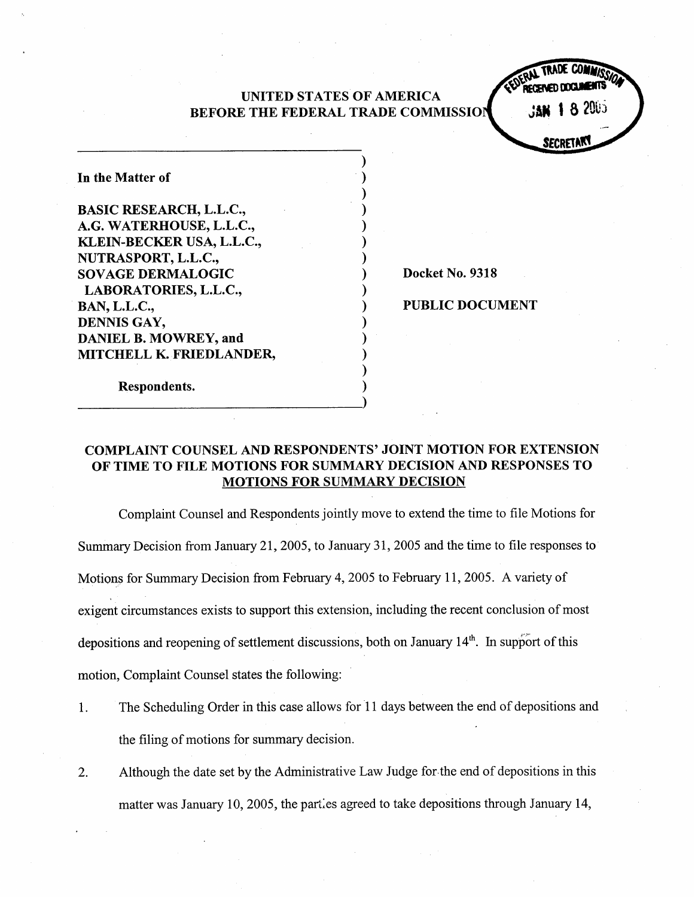### UNITED STATES OF AMERICA BEFORE THE FEDERAL TRADE COMMISSIO

**8 2005 SECKET** 

| In the Matter of               |
|--------------------------------|
| <b>BASIC RESEARCH, L.L.C.,</b> |
| A.G. WATERHOUSE, L.L.C.,       |
| KLEIN-BECKER USA, L.L.C.,      |
| NUTRASPORT, L.L.C.,            |
| <b>SOVAGE DERMALOGIC</b>       |
| LABORATORIES, L.L.C.,          |
| <b>BAN, L.L.C.,</b>            |
| DENNIS GAY,                    |
| <b>DANIEL B. MOWREY, and</b>   |
| MITCHELL K. FRIEDLANDER,       |
| Respondents.                   |

Docket No. 9318

PUBLIC DOCUMENT

## COMPLAINT COUNSEL AND RESPONDENTS' JOINT MOTION FOR EXTENSION OF TIME TO FILE MOTIONS FOR SUMMARY DECISION AND RESPONSES TO MOTIONS FOR SUMMARY DECISION

Complaint Counsel and Respondents jointly move to extend the time to file Motions for Summary Decision from January 21 , 2005 , to January 31 , 2005 and the time to file responses to Motions for Summary Decision from February 4, 2005 to February 11, 2005. A variety of exigent circumstances exists to support this extension, including the recent conclusion of most depositions and reopening of settlement discussions, both on January  $14<sup>th</sup>$ . In support of this motion, Complaint Counsel states the following:

- The Scheduling Order in this case allows for II days between the end of depositions and  $\mathbf{1}$ . the filing of motions for summary decision.
- Although the date set by the Administrative Law Judge for the end of depositions in this 2. matter was January 10, 2005, the parties agreed to take depositions through January 14,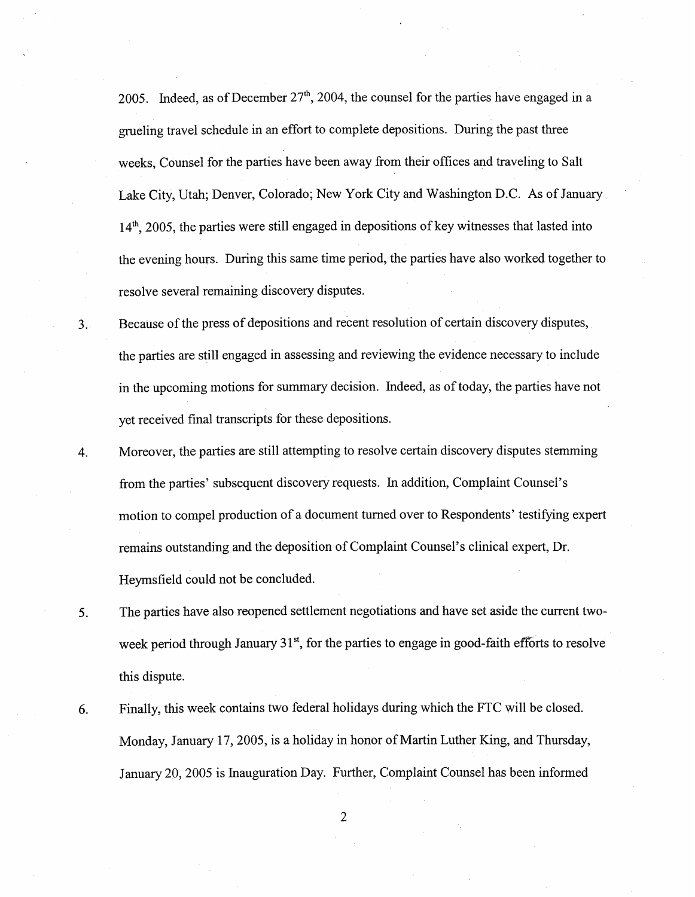2005. Indeed, as of December  $27<sup>th</sup>$ , 2004, the counsel for the parties have engaged in a grueling travel schedule in an effort to complete depositions. During the past three weeks, Counsel for the parties have been away from their offices and traveling to Salt Lake City, Utah; Denver, Colorado; New York City and Washington D.C. As of January  $14<sup>th</sup>$ , 2005, the parties were still engaged in depositions of key witnesses that lasted into the evening hours. During this same time period, the parties have also worked together to resolve several remaining discovery disputes.

Because of the press of depositions and recent resolution of certain discovery disputes  $3.1$ the parties are still engaged in assessing and reviewing the evidence necessary to include in the upcoming motions for summary decision. Indeed, as of today, the parties have not yet received final transcripts for these depositions.

Moreover, the parties are still attempting to resolve certain discovery disputes stemming 4. from the parties' subsequent discovery requests. In addition, Complaint Counsel's motion to compel production of a document turned over to Respondents' testifying expert remains outstanding and the deposition of Complaint Counsel's clinical expert , Dr. Heymsfie1d could not be concluded.

The parties have also reopened settlement negotiations and have set aside the current two-5. week period through January  $31<sup>st</sup>$ , for the parties to engage in good-faith efforts to resolve this dispute.

Finally, this week contains two federal holidays during which the FTC will be closed. 6. Monday, January 17, 2005 , is a holiday in honor of Marin Luther King, and Thursday, January 20 2005 is Inauguration Day. Further, Complaint Counsel has been informed

 $\overline{2}$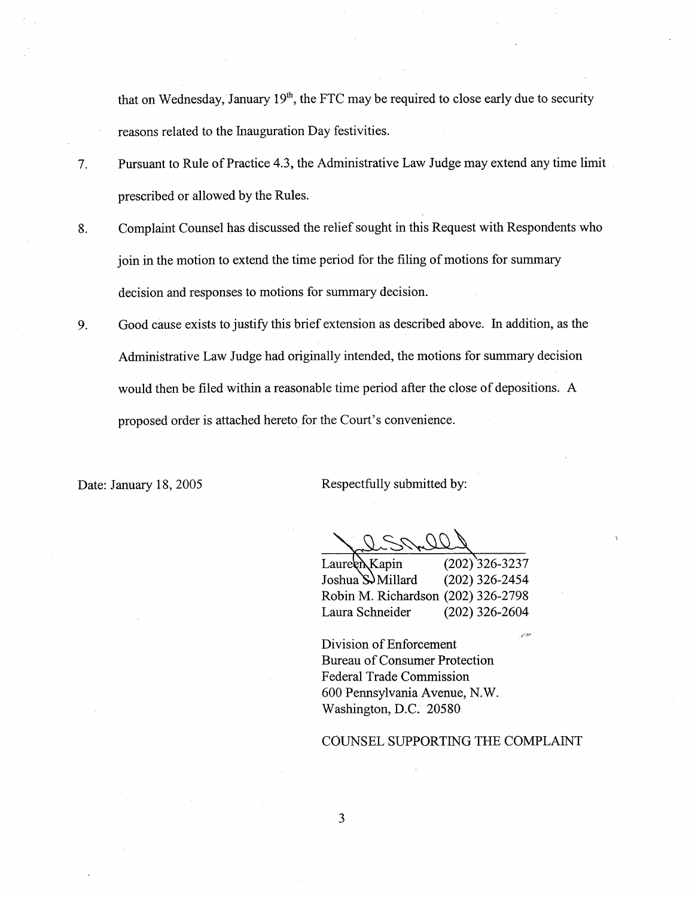that on Wednesday, January 19'h, the FTC may be required to close early due to security reasons related to the Inauguration Day festivities.

- Pursuant to Rule of Practice 4.3, the Administrative Law Judge may extend any time limit  $7<sub>1</sub>$ prescribed or allowed by the Rules.
- Complaint Counsel has discussed the relief sought in this Request with Respondents who 8. join in the motion to extend the time period for the filing of motions for summary decision and responses to motions for summary decision.
- Good cause exists to justify this brief extension as described above. In addition, as the 9. Administrative Law Judge had originally intended, the motions for summary decision would then be filed within a reasonable time period after the close of depositions. A proposed order is attached hereto for the Court's convenience.

Date: January 18, 2005 Respectfully submitted by:

Laure R Kapin (202) 326-3237<br>Joshua S Millard (202) 326-2454 Joshua S. Millard Robin M. Richardson (202) 326-2798 Laura Schneider (202) 326-2604

Division of Enforcement Bureau of Consumer Protection Federal Trade Commission 600 Pennsylvania Avenue, N. Washington, D.C. 20580

### COUNSEL SUPPORTING THE COMPLAINT

3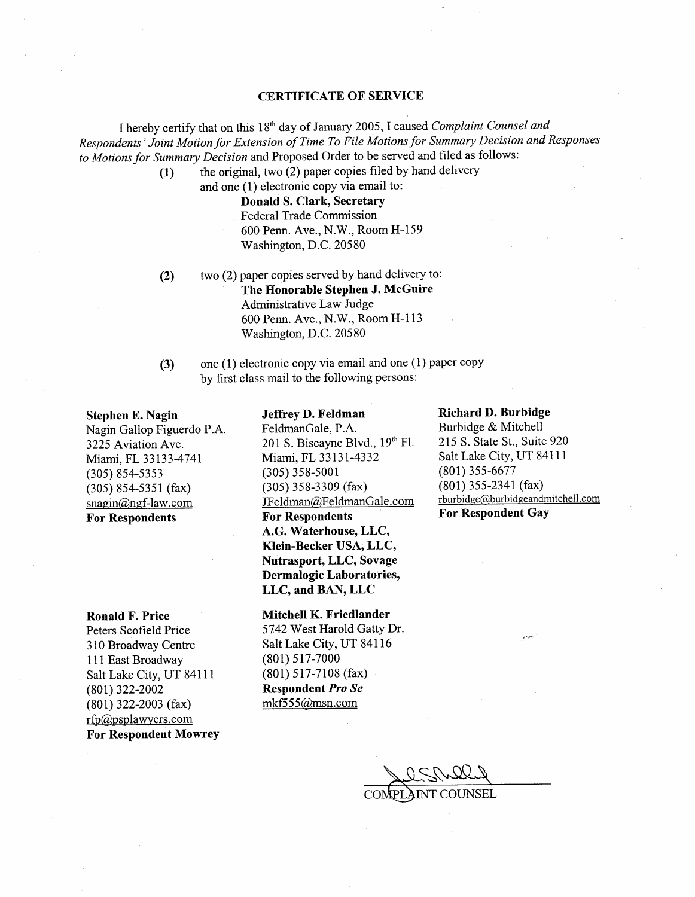### CERTIFICATE OF SERVICE

 $~\sim~$   $~\sim~$ 

I hereby certify that on this 18<sup>th</sup> day of January 2005, I caused *Complaint Counsel and* Respondents' Joint Motion for Extension of Time To File Motions for Summary Decision and Responses to Motions for Summary Decision and Proposed Order to be served and filed as follows:<br>(1) the original, two (2) paper copies filed by hand delivery

and one (1) electronic copy via email to: Donald S. Clark, Secretary Federal Trade Commission 600 Penn. Ave., N.W., Room H-159 Washington, D.C. 20580

- two (2) paper copies served by hand delivery to: The Honorable Stephen J. McGuire Administrative Law Judge 600 Penn. Ave., N.W., Room H-113 Washington, D.C. 20580 (2)
- (3) one (1) electronic copy via email and one (1) paper copy by first class mail to the following persons:

#### Stephen E. Nagin

Nagin Gallop Figuerdo P. 3225 Aviation Ave. Miami, FL 33133-4741 (305) 854-5353 (305) 854-5351 (fax)  $snagin@ngf-law.com$ For Respondents

Ronald F. Price Peters Scofield Price 310 Broadway Centre 111 East Broadway Salt Lake City, UT 8411l (801) 322-2002 (801) 322-2003 (fax)  $rfp@psplawyers.com$ For Respondent Mowrey

### Jeffrey D. Feldman

FeldmanGale, P.A. 201 S. Biscayne Blvd., 19th Fl. Miami, FL 33131-4332 (305) 358-5001 (305) 358-3309 (fax) JFeldman@FeldmanGale.com For Respondents A.G. Waterhouse, LLC, Klein-Becker USA, LLC Nutrasport, LLC, Sovage Dermalogic Laboratories LLC, and BAN, LLC

Mitchell K. Friedlander 5742 West Harold Gatty Dr. Salt Lake City, UT 84116 (801) 517-7000 (801) 517-7108 (fax) Respondent Pro Se mkf555@msn.com

#### Richard D. Burbidge

Burbidge & Mitchell 215 S. State SI. , Suite 920 Salt Lake City, UT 84111 (801) 355-6677 (801) 355-2341 (fax)  $rburbide@burbide@andmitchell.com$ For Respondent Gay

COMPLAINT COUNSEL